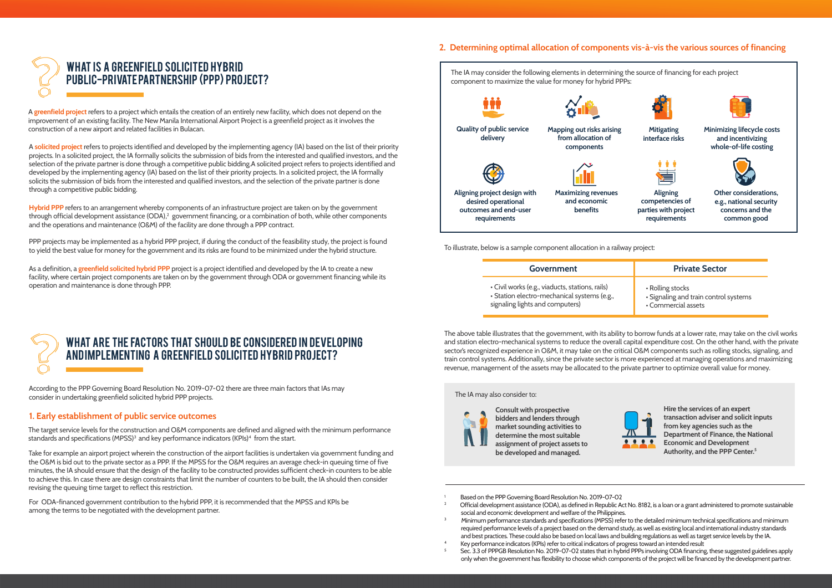## 2. Determining optimal allocation of components vis-à-vis the various sources of financing



A greenfield project refers to a project which entails the creation of an entirely new facility, which does not depend on the improvement of an existing facility. The New Manila International Airport Project is a greenfield project as it involves the construction of a new airport and related facilities in Bulacan.

A solicited project refers to projects identified and developed by the implementing agency (IA) based on the list of their priority projects. In a solicited project, the IA formally solicits the submission of bids from the interested and qualified investors, and the selection of the private partner is done through a competitive public bidding.A solicited project refers to projects identified and developed by the implementing agency (IA) based on the list of their priority projects. In a solicited project, the IA formally solicits the submission of bids from the interested and qualified investors, and the selection of the private partner is done through a competitive public bidding.

Hybrid PPP refers to an arrangement whereby components of an infrastructure project are taken on by the government through official development assistance (ODA), $^{\rm 2}$  government financing, or a combination of both, while other components and the operations and maintenance (O&M) of the facility are done through a PPP contract.

PPP projects may be implemented as a hybrid PPP project, if during the conduct of the feasibility study, the project is found to yield the best value for money for the government and its risks are found to be minimized under the hybrid structure.

As a definition, a greenfield solicited hybrid PPP project is a project identified and developed by the IA to create a new facility, where certain project components are taken on by the government through ODA or government financing while its operation and maintenance is done through PPP.

# WHAT ARE THE FACTORS THAT SHOULD BE CONSIDERED IN DEVELOPING and implementing a greenfield solicited hybrid project?

According to the PPP Governing Board Resolution No. 2019-07-02 there are three main factors that IAs may consider in undertaking greenfield solicited hybrid PPP projects.

### 1. Early establishment of public service outcomes

The target service levels for the construction and O&M components are defined and aligned with the minimum performance standards and specifications (MPSS)<sup>3</sup> and key performance indicators (KPIs)<sup>4</sup> from the start.

Take for example an airport project wherein the construction of the airport facilities is undertaken via government funding and the O&M is bid out to the private sector as a PPP. If the MPSS for the O&M requires an average check-in queuing time of five minutes, the IA should ensure that the design of the facility to be constructed provides sufficient check-in counters to be able to achieve this. In case there are design constraints that limit the number of counters to be built, the IA should then consider revising the queuing time target to reflect this restriction.

For ODA-financed government contribution to the hybrid PPP, it is recommended that the MPSS and KPIs be among the terms to be negotiated with the development partner.



To illustrate, below is a sample component allocation in a railway project:

| Government                                      | <b>Private Sector</b>                 |
|-------------------------------------------------|---------------------------------------|
| • Civil works (e.g., viaducts, stations, rails) | • Rolling stocks                      |
| · Station electro-mechanical systems (e.g.,     | • Signaling and train control systems |
| signaling lights and computers)                 | • Commercial assets                   |

The above table illustrates that the government, with its ability to borrow funds at a lower rate, may take on the civil works and station electro-mechanical systems to reduce the overall capital expenditure cost. On the other hand, with the private sector's recognized experience in O&M, it may take on the critical O&M components such as rolling stocks, signaling, and train control systems. Additionally, since the private sector is more experienced at managing operations and maximizing revenue, management of the assets may be allocated to the private partner to optimize overall value for money.

#### The IA may also consider to:



Consult with prospective bidders and lenders through market sounding activities to determine the most suitable assignment of project assets to be developed and managed.

Hire the services of an expert transaction adviser and solicit inputs from key agencies such as the Department of Finance, the National Economic and Development Authority, and the PPP Center.<sup>5</sup>

- Based on the PPP Governing Board Resolution No. 2019-07-02
- 2 Official development assistance (ODA), as defined in Republic Act No. 8182, is a loan or a grant administered to promote sustainable social and economic development and welfare of the Philippines.
- 3 Minimum performance standards and specifications (MPSS) refer to the detailed minimum technical specifications and minimum required performance levels of a project based on the demand study, as well as existing local and international industry standards and best practices. These could also be based on local laws and building regulations as well as target service levels by the IA.
- 4 Key performance indicators (KPIs) refer to critical indicators of progress toward an intended result
- 5 Sec. 3.3 of PPPGB Resolution No. 2019-07-02 states that in hybrid PPPs involving ODA financing, these suggested guidelines apply only when the government has flexibility to choose which components of the project will be financed by the development partner.